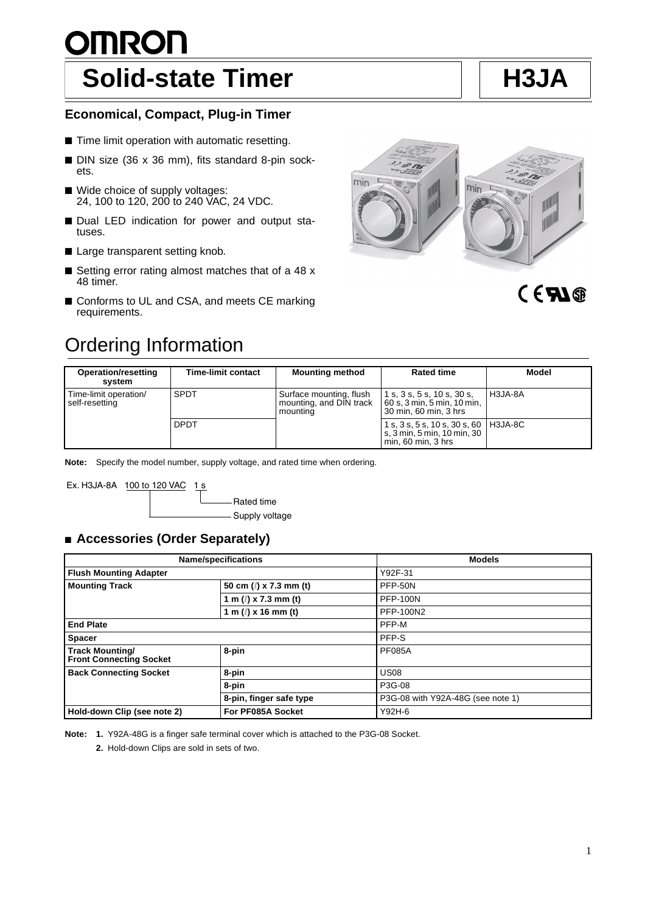# <u>OMRON</u> **Solid-state Timer H** H3JA

### **Economical, Compact, Plug-in Timer**

- Time limit operation with automatic resetting.
- DIN size (36 x 36 mm), fits standard 8-pin sockets.
- Wide choice of supply voltages: 24, 100 to 120, 200 to 240 VAC, 24 VDC.
- Dual LED indication for power and output statuses.
- Large transparent setting knob.
- Setting error rating almost matches that of a 48 x 48 timer.
- Conforms to UL and CSA, and meets CE marking requirements.





# CERI®

| <b>Operation/resetting</b><br>svstem    | <b>Time-limit contact</b> | <b>Mounting method</b>                                         | <b>Rated time</b>                                                                                | Model   |
|-----------------------------------------|---------------------------|----------------------------------------------------------------|--------------------------------------------------------------------------------------------------|---------|
| Time-limit operation/<br>self-resetting | <b>SPDT</b>               | Surface mounting, flush<br>mounting, and DIN track<br>mounting | 1 s, 3 s, 5 s, 10 s, 30 s,<br>60 s, 3 min, 5 min, 10 min,<br>30 min, 60 min, 3 hrs               | H3JA-8A |
|                                         | <b>DPDT</b>               |                                                                | 1 s, 3 s, 5 s, 10 s, 30 s, 60   H3JA-8C<br>s, 3 min, 5 min, 10 min, 30<br>$min, 60$ min, $3$ hrs |         |

**Note:** Specify the model number, supply voltage, and rated time when ordering.

Ex. H3JA-8A 100 to 120 VAC 1 s

Rated time Supply voltage

### ■ **Accessories (Order Separately)**

| <b>Name/specifications</b>                               |                             | <b>Models</b>                     |  |  |
|----------------------------------------------------------|-----------------------------|-----------------------------------|--|--|
| <b>Flush Mounting Adapter</b>                            |                             | Y92F-31                           |  |  |
| <b>Mounting Track</b>                                    | 50 cm $(\ell)$ x 7.3 mm (t) | PFP-50N                           |  |  |
|                                                          | 1 m $(\ell)$ x 7.3 mm (t)   | <b>PFP-100N</b>                   |  |  |
|                                                          | 1 m $(l)$ x 16 mm (t)       | <b>PFP-100N2</b>                  |  |  |
| <b>End Plate</b>                                         |                             | PFP-M                             |  |  |
| <b>Spacer</b>                                            |                             | PFP-S                             |  |  |
| <b>Track Mounting/</b><br><b>Front Connecting Socket</b> | 8-pin                       | <b>PF085A</b>                     |  |  |
| <b>Back Connecting Socket</b>                            | 8-pin                       | <b>US08</b>                       |  |  |
|                                                          | 8-pin                       | P3G-08                            |  |  |
|                                                          | 8-pin, finger safe type     | P3G-08 with Y92A-48G (see note 1) |  |  |
| Hold-down Clip (see note 2)<br>For PF085A Socket         |                             | Y92H-6                            |  |  |

**Note: 1.** Y92A-48G is a finger safe terminal cover which is attached to the P3G-08 Socket.

**2.** Hold-down Clips are sold in sets of two.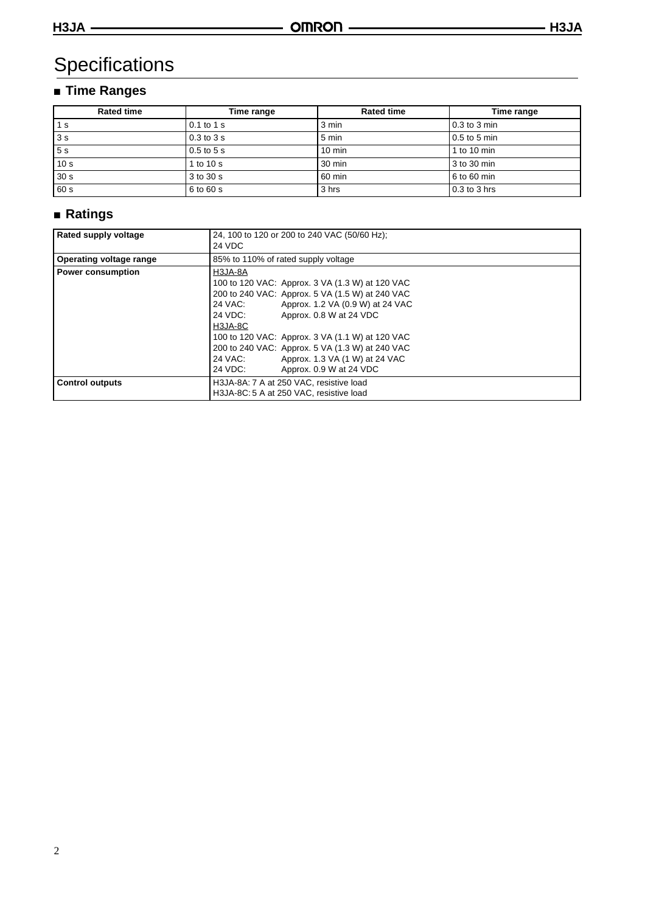# **Specifications**

# ■ **Time Ranges**

| <b>Rated time</b><br>Time range |                | <b>Rated time</b> | Time range     |  |
|---------------------------------|----------------|-------------------|----------------|--|
| 1 s                             | $0.1$ to $1$ s | 3 min             | $0.3$ to 3 min |  |
| 3s                              | $0.3$ to $3s$  | 5 min             | $0.5$ to 5 min |  |
| 5s                              | $0.5$ to $5s$  | $10 \text{ min}$  | 1 to 10 min    |  |
| 10 <sub>s</sub>                 | 1 to 10 s      | 30 min            | 3 to 30 min    |  |
| 30 <sub>s</sub>                 | 3 to 30 s      | 60 min            | 6 to 60 min    |  |
| 60 s                            | 6 to 60 s      | 3 hrs             | 0.3 to 3 hrs   |  |

# ■ **Ratings**

| <b>Rated supply voltage</b>    | 24, 100 to 120 or 200 to 240 VAC (50/60 Hz);<br>24 VDC                                                                                                                                                                                                                                                                                                                                                 |
|--------------------------------|--------------------------------------------------------------------------------------------------------------------------------------------------------------------------------------------------------------------------------------------------------------------------------------------------------------------------------------------------------------------------------------------------------|
| <b>Operating voltage range</b> | 85% to 110% of rated supply voltage                                                                                                                                                                                                                                                                                                                                                                    |
| <b>Power consumption</b>       | H3JA-8A<br>100 to 120 VAC: Approx. 3 VA (1.3 W) at 120 VAC<br>200 to 240 VAC: Approx. 5 VA (1.5 W) at 240 VAC<br>24 VAC:<br>Approx. 1.2 VA (0.9 W) at 24 VAC<br>24 VDC:<br>Approx. 0.8 W at 24 VDC<br>H3JA-8C<br>100 to 120 VAC: Approx. 3 VA (1.1 W) at 120 VAC<br>200 to 240 VAC: Approx. 5 VA (1.3 W) at 240 VAC<br>24 VAC:<br>Approx. 1.3 VA (1 W) at 24 VAC<br>24 VDC:<br>Approx. 0.9 W at 24 VDC |
| <b>Control outputs</b>         | H3JA-8A: 7 A at 250 VAC, resistive load<br>H3JA-8C: 5 A at 250 VAC, resistive load                                                                                                                                                                                                                                                                                                                     |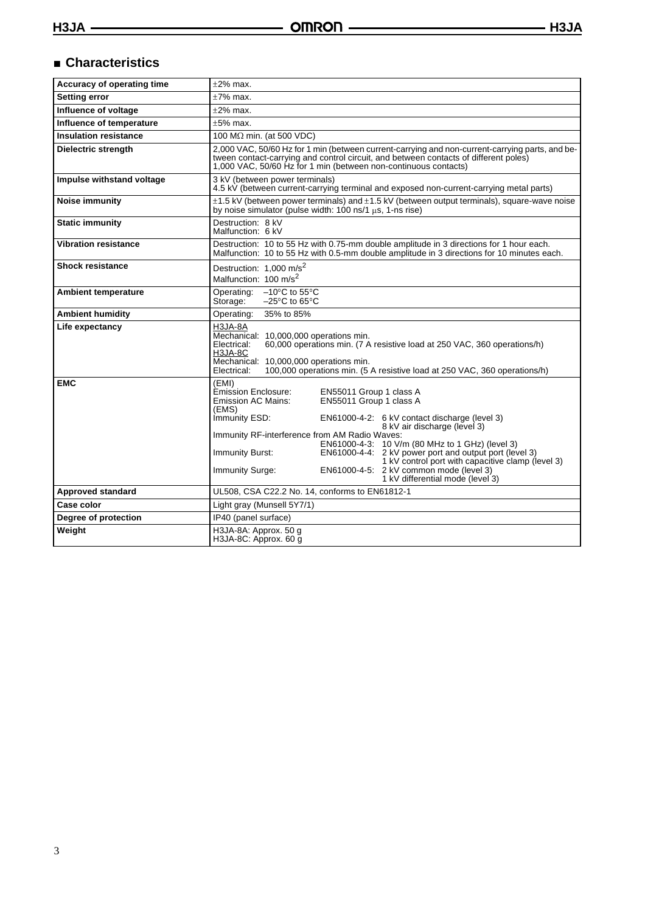## ■ **Characteristics**

| Accuracy of operating time   | $\pm 2\%$ max.                                                                                                                                                                                                                                                                                                                                                                                                                                                                                                                                                            |  |  |  |
|------------------------------|---------------------------------------------------------------------------------------------------------------------------------------------------------------------------------------------------------------------------------------------------------------------------------------------------------------------------------------------------------------------------------------------------------------------------------------------------------------------------------------------------------------------------------------------------------------------------|--|--|--|
| <b>Setting error</b>         | $±7\%$ max.                                                                                                                                                                                                                                                                                                                                                                                                                                                                                                                                                               |  |  |  |
| Influence of voltage         | $\pm 2\%$ max.                                                                                                                                                                                                                                                                                                                                                                                                                                                                                                                                                            |  |  |  |
| Influence of temperature     | $±5%$ max.                                                                                                                                                                                                                                                                                                                                                                                                                                                                                                                                                                |  |  |  |
| <b>Insulation resistance</b> | 100 M $\Omega$ min. (at 500 VDC)                                                                                                                                                                                                                                                                                                                                                                                                                                                                                                                                          |  |  |  |
| Dielectric strength          | 2,000 VAC, 50/60 Hz for 1 min (between current-carrying and non-current-carrying parts, and be-<br>tween contact-carrying and control circuit, and between contacts of different poles)<br>1,000 VAC, 50/60 Hz for 1 min (between non-continuous contacts)                                                                                                                                                                                                                                                                                                                |  |  |  |
| Impulse withstand voltage    | 3 kV (between power terminals)<br>4.5 kV (between current-carrying terminal and exposed non-current-carrying metal parts)                                                                                                                                                                                                                                                                                                                                                                                                                                                 |  |  |  |
| Noise immunity               | $\pm$ 1.5 kV (between power terminals) and $\pm$ 1.5 kV (between output terminals), square-wave noise<br>by noise simulator (pulse width: $100$ ns/1 $\mu$ s, 1-ns rise)                                                                                                                                                                                                                                                                                                                                                                                                  |  |  |  |
| <b>Static immunity</b>       | Destruction: 8 kV<br>Malfunction: 6 kV                                                                                                                                                                                                                                                                                                                                                                                                                                                                                                                                    |  |  |  |
| <b>Vibration resistance</b>  | Destruction: 10 to 55 Hz with 0.75-mm double amplitude in 3 directions for 1 hour each.<br>Malfunction: 10 to 55 Hz with 0.5-mm double amplitude in 3 directions for 10 minutes each.                                                                                                                                                                                                                                                                                                                                                                                     |  |  |  |
| <b>Shock resistance</b>      | Destruction: 1,000 m/s <sup>2</sup><br>Malfunction: 100 m/s <sup>2</sup>                                                                                                                                                                                                                                                                                                                                                                                                                                                                                                  |  |  |  |
| <b>Ambient temperature</b>   | Operating:<br>$-10^{\circ}$ C to 55 $^{\circ}$ C<br>Storage:<br>$-25^{\circ}$ C to 65 $^{\circ}$ C                                                                                                                                                                                                                                                                                                                                                                                                                                                                        |  |  |  |
| <b>Ambient humidity</b>      | 35% to 85%<br>Operating:                                                                                                                                                                                                                                                                                                                                                                                                                                                                                                                                                  |  |  |  |
| Life expectancy              | H3JA-8A<br>Mechanical: 10.000.000 operations min.<br>60,000 operations min. (7 A resistive load at 250 VAC, 360 operations/h)<br>Electrical:<br><b>H3JA-8C</b><br>Mechanical: 10,000,000 operations min.<br>100,000 operations min. (5 A resistive load at 250 VAC, 360 operations/h)<br>Electrical:                                                                                                                                                                                                                                                                      |  |  |  |
| <b>EMC</b>                   | (EMI)<br><b>Émission Enclosure:</b><br>EN55011 Group 1 class A<br>EN55011 Group 1 class A<br>Emission AC Mains:<br>(EMS)<br>Immunity ESD:<br>EN61000-4-2: 6 kV contact discharge (level 3)<br>8 kV air discharge (level 3)<br>Immunity RF-interference from AM Radio Waves:<br>EN61000-4-3: 10 V/m (80 MHz to 1 GHz) (level 3)<br>EN61000-4-4: 2 kV power port and output port (level 3)<br>Immunity Burst:<br>1 kV control port with capacitive clamp (level 3)<br>EN61000-4-5: 2 kV common mode (level 3)<br><b>Immunity Surge:</b><br>1 kV differential mode (level 3) |  |  |  |
| <b>Approved standard</b>     | UL508, CSA C22.2 No. 14, conforms to EN61812-1                                                                                                                                                                                                                                                                                                                                                                                                                                                                                                                            |  |  |  |
| Case color                   | Light gray (Munsell 5Y7/1)                                                                                                                                                                                                                                                                                                                                                                                                                                                                                                                                                |  |  |  |
| Degree of protection         | IP40 (panel surface)                                                                                                                                                                                                                                                                                                                                                                                                                                                                                                                                                      |  |  |  |
| Weight                       | H3JA-8A: Approx. 50 g<br>H3JA-8C: Approx. 60 g                                                                                                                                                                                                                                                                                                                                                                                                                                                                                                                            |  |  |  |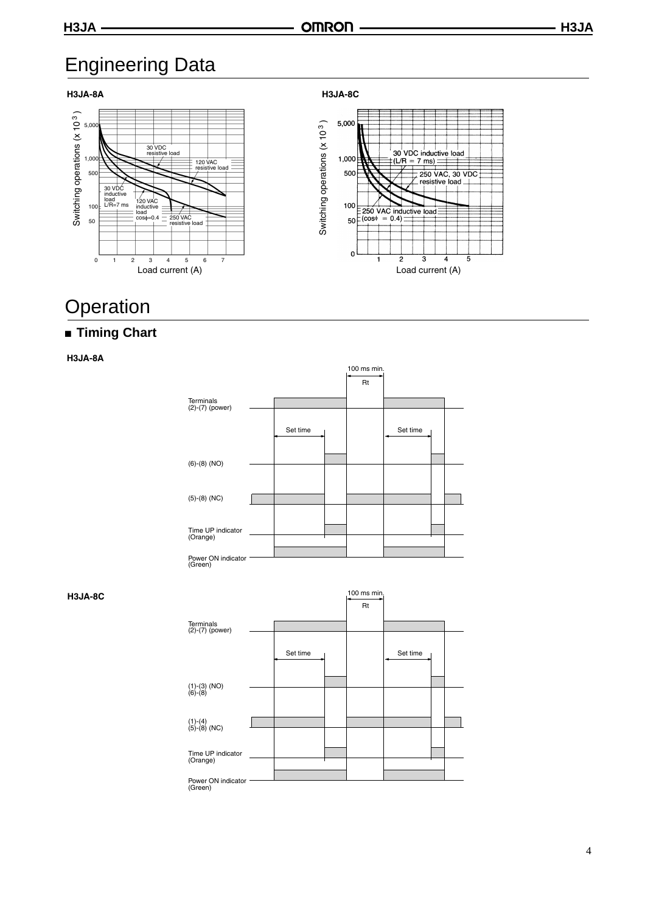# Engineering Data

### **H3JA-8A**





Switching operations (x 10<sup>3</sup>)



# **Operation**

## ■ **Timing Chart**

**H3JA-8A**



#### **H3JA-8C**

|                                | 100 ms min,<br>Rt |          |  |  |          |  |  |
|--------------------------------|-------------------|----------|--|--|----------|--|--|
| Terminals<br>$(2)-(7)$ (power) |                   |          |  |  |          |  |  |
|                                |                   | Set time |  |  | Set time |  |  |
| $(1)-(3)$ (NO)<br>(6)-(8)      |                   |          |  |  |          |  |  |
|                                |                   |          |  |  |          |  |  |
| $(1)-(4)$<br>(5)-(8) (NC)      |                   |          |  |  |          |  |  |
| Time UP indicator              |                   |          |  |  |          |  |  |
| (Orange)                       |                   |          |  |  |          |  |  |
| Power ON indicator<br>(Green)  |                   |          |  |  |          |  |  |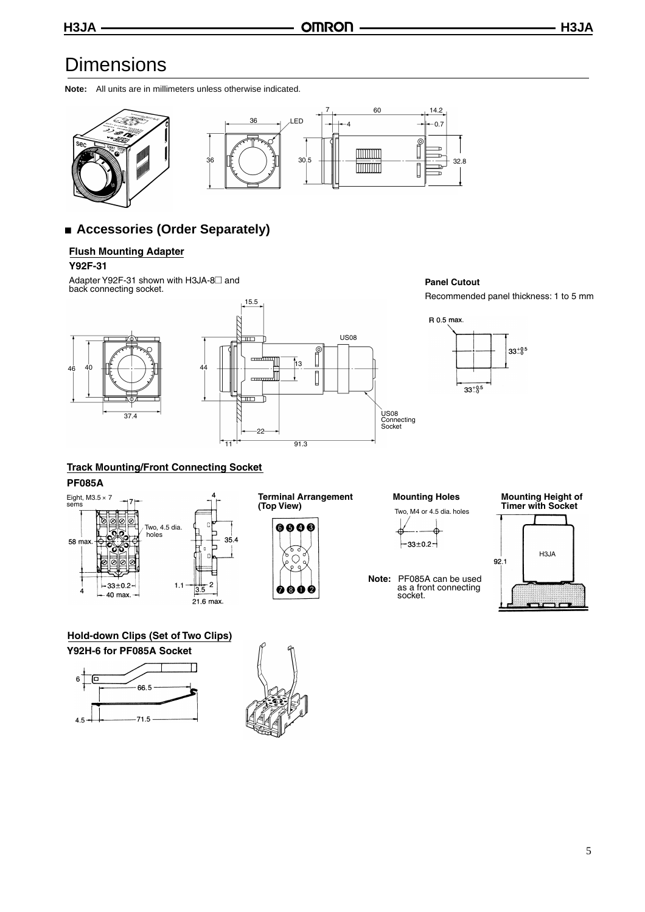# **Dimensions**

**Note:** All units are in millimeters unless otherwise indicated.



## ■ **Accessories (Order Separately)**

#### **Flush Mounting Adapter**

#### **Y92F-31**

Adapter Y92F-31 shown with H3JA-8<sup>2</sup> and back connecting socket.





#### **Panel Cutout**

Recommended panel thickness: 1 to 5 mm



## **Track Mounting/Front Connecting Socket**

#### **PF085A**



**Terminal Arrangement Mounting Holes (Top View)**



Two, M4 or 4.5 dia. holes

- $-33 \pm 0.2 -$
- **Note:** PF085A can be used as a front connecting socket.

#### **Mounting Height of Timer with Socket**



**Hold-down Clips (Set of Two Clips) Y92H-6 for PF085A Socket**



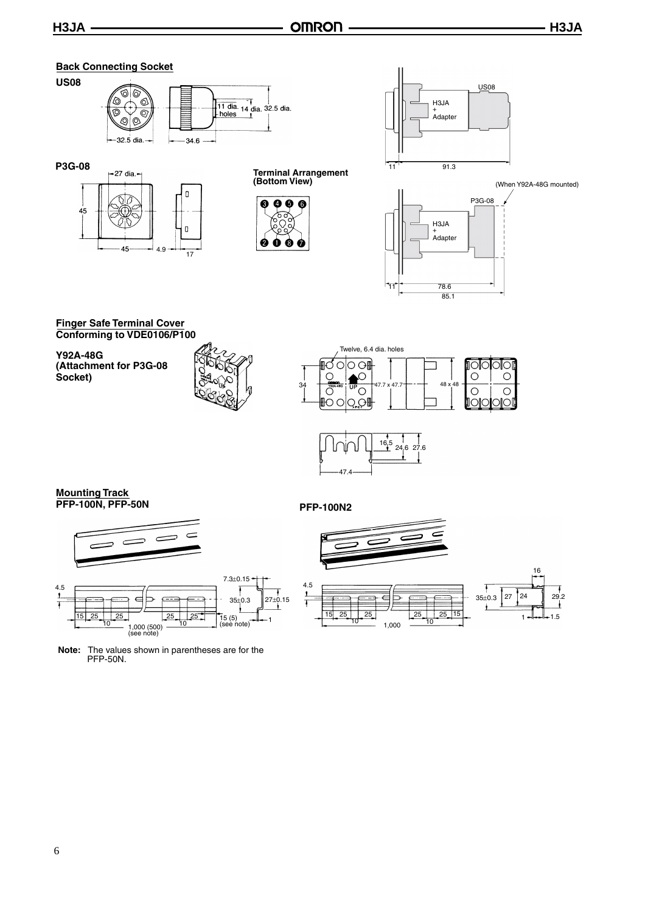#### **Back Connecting Socket US08** <u>ବାଡି</u> 6 ୕ଔ  $\overline{\circ}$  $\circledcirc$  $\circ$ -32.5 dia.  $-34.6$



**(Bottom View)**





(When Y92A-48G mounted)



**Finger Safe Terminal Cover Conforming to VDE0106/P100**

**Y92A-48G (Attachment for P3G-08 Socket)**







### **Mounting Track PFP-100N, PFP-50N PFP-100N2**



**Note:** The values shown in parentheses are for the PFP-50N.

 $\epsilon$ 



 $\overline{\mathbf{I}}$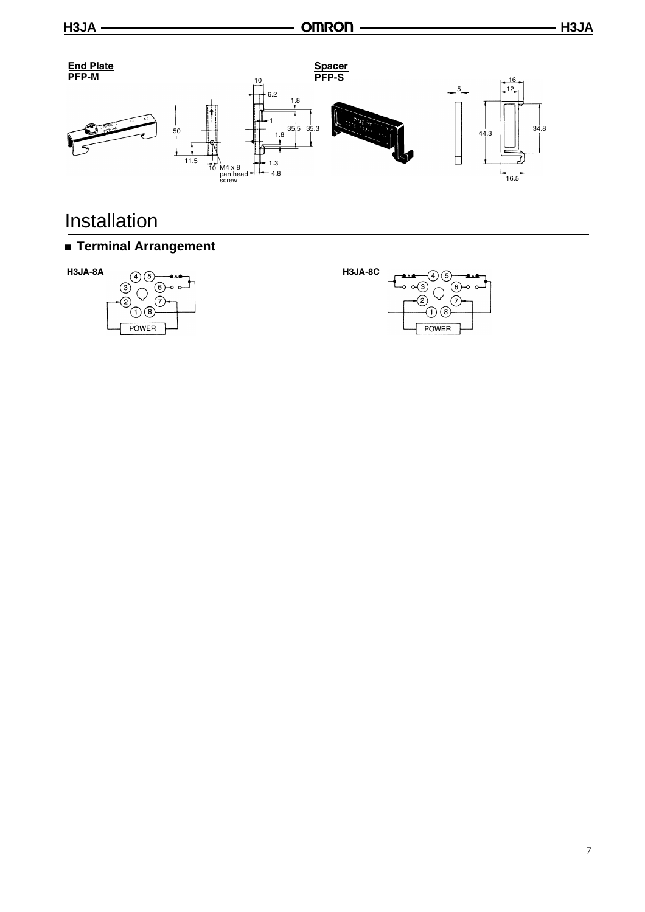

# Installation

# ■ **Terminal Arrangement**